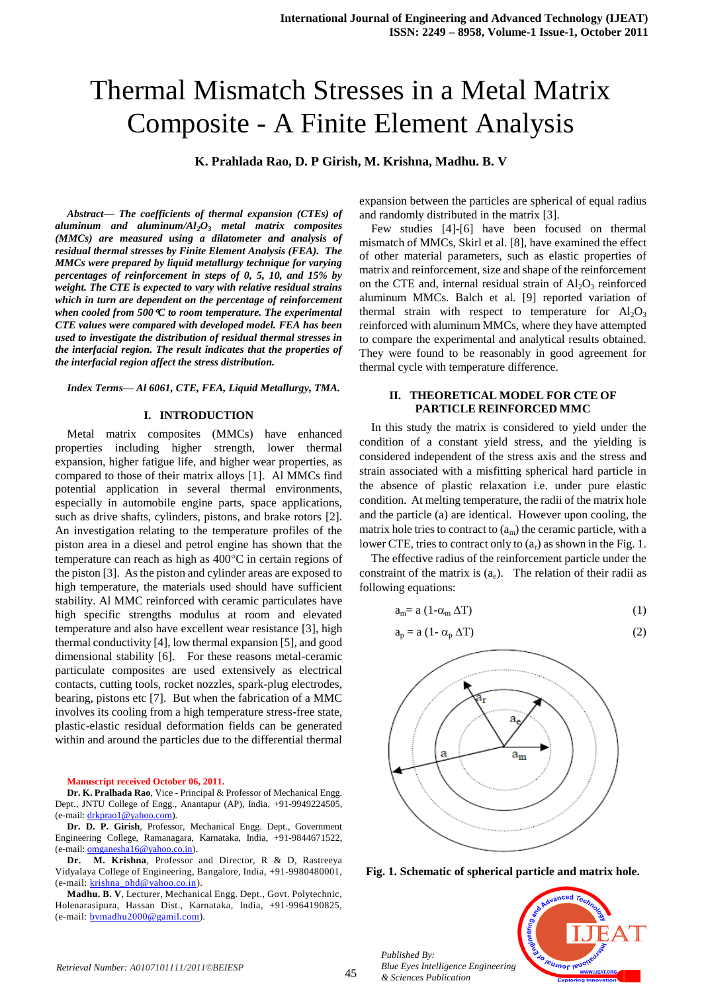# Thermal Mismatch Stresses in a Metal Matrix Composite - A Finite Element Analysis

**K. Prahlada Rao, D. P Girish, M. Krishna, Madhu. B. V**

*Abstract— The coefficients of thermal expansion (CTEs) of aluminum and aluminum/Al2O<sup>3</sup> metal matrix composites (MMCs) are measured using a dilatometer and analysis of residual thermal stresses by Finite Element Analysis (FEA). The MMCs were prepared by liquid metallurgy technique for varying percentages of reinforcement in steps of 0, 5, 10, and 15% by weight. The CTE is expected to vary with relative residual strains which in turn are dependent on the percentage of reinforcement when cooled from 500C to room temperature. The experimental CTE values were compared with developed model. FEA has been used to investigate the distribution of residual thermal stresses in the interfacial region. The result indicates that the properties of the interfacial region affect the stress distribution.*

#### *Index Terms— Al 6061, CTE, FEA, Liquid Metallurgy, TMA.*

#### **I. INTRODUCTION**

Metal matrix composites (MMCs) have enhanced properties including higher strength, lower thermal expansion, higher fatigue life, and higher wear properties, as compared to those of their matrix alloys [1]. Al MMCs find potential application in several thermal environments, especially in automobile engine parts, space applications, such as drive shafts, cylinders, pistons, and brake rotors [2]. An investigation relating to the temperature profiles of the piston area in a diesel and petrol engine has shown that the temperature can reach as high as  $400^{\circ}$ C in certain regions of the piston [3]. As the piston and cylinder areas are exposed to high temperature, the materials used should have sufficient stability. Al MMC reinforced with ceramic particulates have high specific strengths modulus at room and elevated temperature and also have excellent wear resistance [3], high thermal conductivity [4], low thermal expansion [5], and good dimensional stability [6]. For these reasons metal-ceramic particulate composites are used extensively as electrical contacts, cutting tools, rocket nozzles, spark-plug electrodes, bearing, pistons etc [7]. But when the fabrication of a MMC involves its cooling from a high temperature stress-free state, plastic-elastic residual deformation fields can be generated within and around the particles due to the differential thermal

**Manuscript received October 06, 2011.** 

**Dr. K. Pralhada Rao**, Vice - Principal & Professor of Mechanical Engg. Dept., JNTU College of Engg., Anantapur (AP), India, +91-9949224505, (e-mail[: drkprao1@yahoo.com\)](mailto:drkprao1@yahoo.com).

**Dr. D. P. Girish**, Professor, Mechanical Engg. Dept., Government Engineering College, Ramanagara, Karnataka, India, +91-9844671522, (e-mail[: omganesha16@yahoo.co.in\)](mailto:omganesha16@yahoo.co.in).

**Dr. M. Krishna**, Professor and Director, R & D, Rastreeya Vidyalaya College of Engineering, Bangalore, India, +91-9980480001, (e-mail: [krishna\\_phd@yahoo.co.in\)](mailto:krishna_phd@yahoo.co.in).

**Madhu. B. V**, Lecturer, Mechanical Engg. Dept., Govt. Polytechnic, Holenarasipura, Hassan Dist., Karnataka, India, +91-9964190825, (e-mail: [bvmadhu2000@gamil.com\)](mailto:bvmadhu2000@gamil.com).

expansion between the particles are spherical of equal radius and randomly distributed in the matrix [3].

Few studies [4]-[6] have been focused on thermal mismatch of MMCs, Skirl et al. [8], have examined the effect of other material parameters, such as elastic properties of matrix and reinforcement, size and shape of the reinforcement on the CTE and, internal residual strain of  $Al_2O_3$  reinforced aluminum MMCs. Balch et al. [9] reported variation of thermal strain with respect to temperature for  $Al_2O_3$ reinforced with aluminum MMCs, where they have attempted to compare the experimental and analytical results obtained. They were found to be reasonably in good agreement for thermal cycle with temperature difference.

## **II. THEORETICAL MODEL FOR CTE OF PARTICLE REINFORCED MMC**

In this study the matrix is considered to yield under the condition of a constant yield stress, and the yielding is considered independent of the stress axis and the stress and strain associated with a misfitting spherical hard particle in the absence of plastic relaxation i.e. under pure elastic condition. At melting temperature, the radii of the matrix hole and the particle (a) are identical. However upon cooling, the matrix hole tries to contract to  $(a_m)$  the ceramic particle, with a lower CTE, tries to contract only to  $(a_r)$  as shown in the Fig. 1.

The effective radius of the reinforcement particle under the constraint of the matrix is  $(a_e)$ . The relation of their radii as following equations:

$$
a_m = a (1 - \alpha_m \Delta T) \tag{1}
$$

$$
a_p = a (1 - \alpha_p \Delta T) \tag{2}
$$



**Fig. 1. Schematic of spherical particle and matrix hole.**

*Blue Eyes Intelligence Engineering & Sciences Publication* 



<sup>45</sup> *Retrieval Number: A0107101111/2011©BEIESP*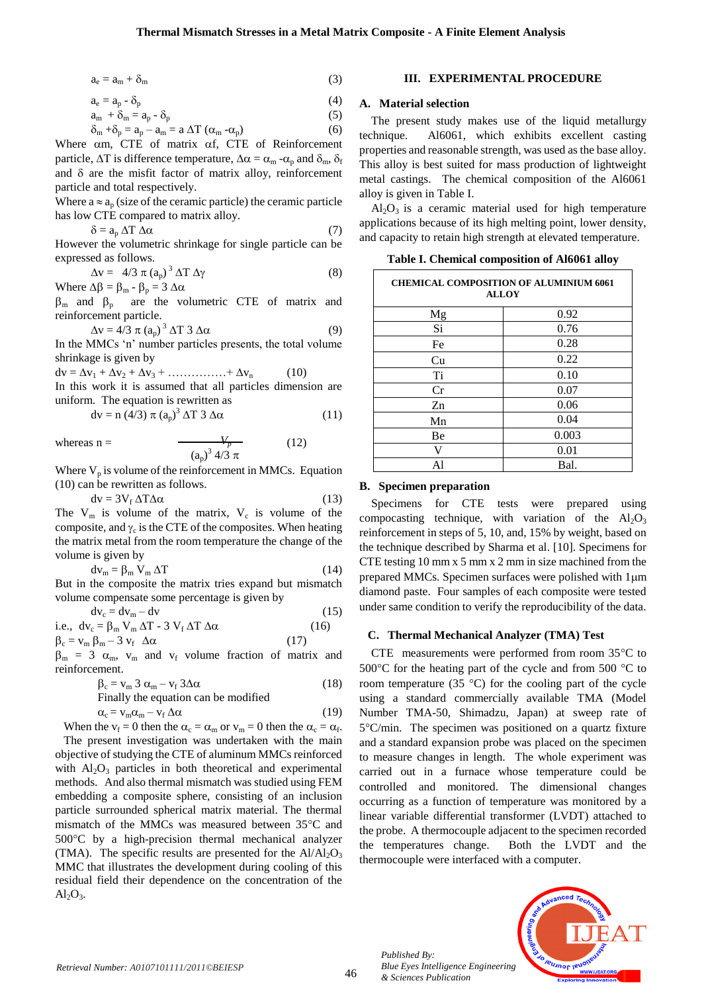$$
a_e = a_m + \delta_m \tag{3}
$$

 $a_e = a_p - \delta_p$  (4)

 $a_m + \delta_m = a_p - \delta_p$  (5)

$$
\delta_{\rm m} + \delta_{\rm p} = a_{\rm p} - a_{\rm m} = a \Delta T \left( \alpha_{\rm m} - \alpha_{\rm p} \right) \tag{6}
$$

Where  $\alpha$ m, CTE of matrix  $\alpha$ f, CTE of Reinforcement particle,  $\Delta T$  is difference temperature,  $\Delta \alpha = \alpha_m - \alpha_p$  and  $\delta_m$ ,  $\delta_f$ and  $\delta$  are the misfit factor of matrix alloy, reinforcement particle and total respectively.

Where  $a \approx a_n$  (size of the ceramic particle) the ceramic particle has low CTE compared to matrix alloy.

$$
\delta = a_p \Delta T \Delta \alpha \tag{7}
$$

However the volumetric shrinkage for single particle can be expressed as follows.

$$
\Delta v = 4/3 \pi (a_p)^3 \Delta T \Delta \gamma
$$
  
Where  $\Delta \beta = \beta_m - \beta_p = 3 \Delta \alpha$  (8)

 $\beta_m$  and  $\beta_p$  are the volumetric CTE of matrix and reinforcement particle.

$$
\Delta v = 4/3 \pi (a_p)^3 \Delta T 3 \Delta \alpha \tag{9}
$$

In the MMCs 'n' number particles presents, the total volume shrinkage is given by

 $dv = \Delta v_1 + \Delta v_2 + \Delta v_3 + \dots + \Delta v_n$  (10) In this work it is assumed that all particles dimension are

uniform. The equation is rewritten as

$$
dv = n (4/3) \pi (a_p)^3 \Delta T 3 \Delta \alpha \qquad (11)
$$

whereas n = 
$$
\frac{V_p}{(a_p)^3 4/3 \pi}
$$
 (12)

Where  $V_p$  is volume of the reinforcement in MMCs. Equation (10) can be rewritten as follows.

$$
dv = 3V_f \Delta T \Delta \alpha \tag{13}
$$

The  $V_m$  is volume of the matrix,  $V_c$  is volume of the composite, and  $\gamma_c$  is the CTE of the composites. When heating the matrix metal from the room temperature the change of the volume is given by **0.10**

$$
dv_m = \beta_m V_m \Delta T \tag{14}
$$

But in the composite the matrix tries expand but mismatch volume compensate some percentage is given by

$$
dv_c = dv_m - dv
$$
 (15)  
i.e.,  $dv_c = \beta_m V_m \Delta T - 3 V_f \Delta T \Delta \alpha$  (16)

$$
\beta_c = v_m \beta_m - 3 v_f \Delta \alpha
$$
 (17)

 $\beta_m$  = 3  $\alpha_m$ ,  $v_m$  and  $v_f$  volume fraction of matrix and reinforcement.

$$
\beta_c = v_m \ 3 \ \alpha_m - v_f \ 3\Delta\alpha \tag{18}
$$
\nFinally the equation can be modified

$$
\alpha_{\rm c} = \mathbf{v}_{\rm m}\alpha_{\rm m} - \mathbf{v}_{\rm f}\,\Delta\alpha\tag{19}
$$

When the  $v_f = 0$  then the  $\alpha_c = \alpha_m$  or  $v_m = 0$  then the  $\alpha_c = \alpha_f$ . The present investigation was undertaken with the main objective of studying the CTE of aluminum MMCs reinforced with  $Al_2O_3$  particles in both theoretical and experimental methods. And also thermal mismatch was studied using FEM embedding a composite sphere, consisting of an inclusion particle surrounded spherical matrix material. The thermal mismatch of the MMCs was measured between 35°C and 500C by a high-precision thermal mechanical analyzer (TMA). The specific results are presented for the  $Al/Al_2O_3$ MMC that illustrates the development during cooling of this residual field their dependence on the concentration of the  $Al<sub>2</sub>O<sub>3</sub>$ .

## **III. EXPERIMENTAL PROCEDURE**

## **A. Material selection**

The present study makes use of the liquid metallurgy technique. Al6061, which exhibits excellent casting properties and reasonable strength, was used as the base alloy. This alloy is best suited for mass production of lightweight metal castings. The chemical composition of the Al6061 alloy is given in Table I.

 $Al_2O_3$  is a ceramic material used for high temperature applications because of its high melting point, lower density, and capacity to retain high strength at elevated temperature.

| <b>CHEMICAL COMPOSITION OF ALUMINIUM 6061</b><br><b>ALLOY</b> |       |  |  |  |  |
|---------------------------------------------------------------|-------|--|--|--|--|
| Mg                                                            | 0.92  |  |  |  |  |
| Si                                                            | 0.76  |  |  |  |  |
| Fe                                                            | 0.28  |  |  |  |  |
| Cu                                                            | 0.22  |  |  |  |  |
| Ti                                                            | 0.10  |  |  |  |  |
| Cr                                                            | 0.07  |  |  |  |  |
| Zn                                                            | 0.06  |  |  |  |  |
| Mn                                                            | 0.04  |  |  |  |  |
| Be                                                            | 0.003 |  |  |  |  |
| V                                                             | 0.01  |  |  |  |  |
| Al                                                            | Bal.  |  |  |  |  |

**Table I. Chemical composition of Al6061 alloy**

## **B. Specimen preparation**

Specimens for CTE tests were prepared using compocasting technique, with variation of the  $Al_2O_3$ reinforcement in steps of 5, 10, and, 15% by weight, based on the technique described by Sharma et al. [10]. Specimens for determing the setting 10 mm x 5 mm x 2 mm in size machined from the prepared MMCs. Specimen surfaces were polished with  $1 \mu m$ diamond paste. Four samples of each composite were tested under same condition to verify the reproducibility of the data.

#### **C. Thermal Mechanical Analyzer (TMA) Test**

CTE measurements were performed from room  $35^{\circ}$ C to 500 $\degree$ C for the heating part of the cycle and from 500  $\degree$ C to room temperature (35  $^{\circ}$ C) for the cooling part of the cycle using a standard commercially available TMA (Model Number TMA-50, Shimadzu, Japan) at sweep rate of  $5^{\circ}$ C/min. The specimen was positioned on a quartz fixture and a standard expansion probe was placed on the specimen to measure changes in length. The whole experiment was carried out in a furnace whose temperature could be controlled and monitored. The dimensional changes occurring as a function of temperature was monitored by a linear variable differential transformer (LVDT) attached to the probe. A thermocouple adjacent to the specimen recorded the temperatures change. Both the LVDT and the thermocouple were interfaced with a computer.



*Published By:*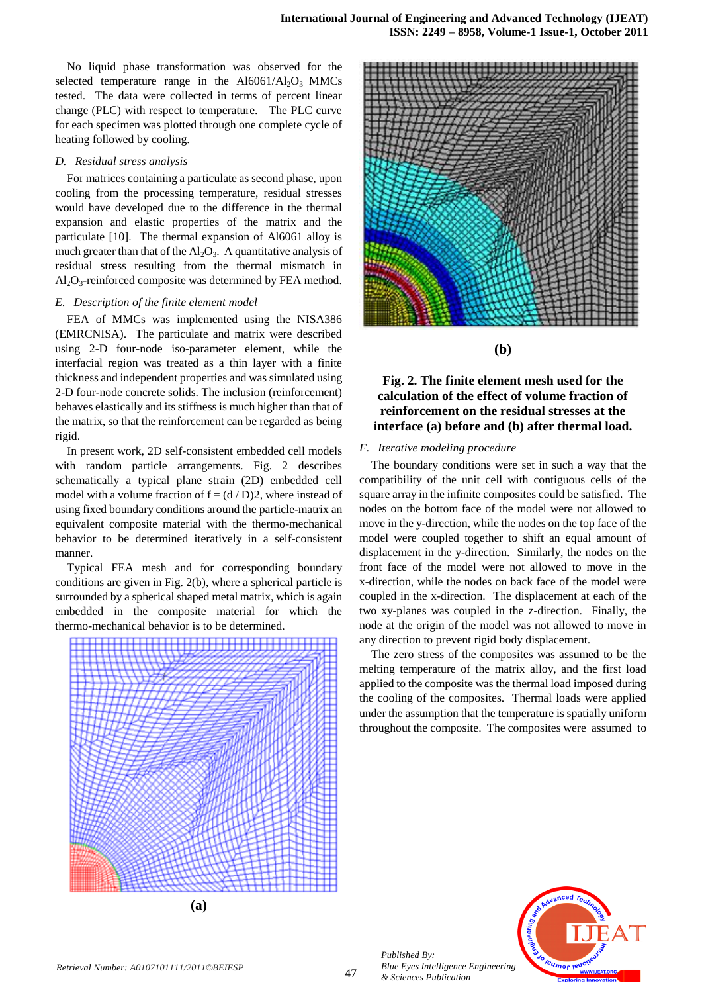No liquid phase transformation was observed for the selected temperature range in the  $Al6061/Al_2O_3$  MMCs tested. The data were collected in terms of percent linear change (PLC) with respect to temperature. The PLC curve for each specimen was plotted through one complete cycle of heating followed by cooling.

## *D. Residual stress analysis*

For matrices containing a particulate as second phase, upon cooling from the processing temperature, residual stresses would have developed due to the difference in the thermal expansion and elastic properties of the matrix and the particulate [10]. The thermal expansion of Al6061 alloy is much greater than that of the  $Al_2O_3$ . A quantitative analysis of residual stress resulting from the thermal mismatch in  $Al_2O_3$ -reinforced composite was determined by FEA method.

## *E. Description of the finite element model*

FEA of MMCs was implemented using the NISA386 (EMRCNISA). The particulate and matrix were described using 2-D four-node iso-parameter element, while the interfacial region was treated as a thin layer with a finite thickness and independent properties and was simulated using 2-D four-node concrete solids. The inclusion (reinforcement) behaves elastically and its stiffness is much higher than that of the matrix, so that the reinforcement can be regarded as being rigid.

In present work, 2D self-consistent embedded cell models with random particle arrangements. Fig. 2 describes schematically a typical plane strain (2D) embedded cell model with a volume fraction of  $f = (d/D)2$ , where instead of using fixed boundary conditions around the particle-matrix an equivalent composite material with the thermo-mechanical behavior to be determined iteratively in a self-consistent manner.

Typical FEA mesh and for corresponding boundary conditions are given in Fig. 2(b), where a spherical particle is surrounded by a spherical shaped metal matrix, which is again embedded in the composite material for which the thermo-mechanical behavior is to be determined.







**(b)**

**Fig. 2. The finite element mesh used for the calculation of the effect of volume fraction of reinforcement on the residual stresses at the interface (a) before and (b) after thermal load.**

## *F. Iterative modeling procedure*

The boundary conditions were set in such a way that the compatibility of the unit cell with contiguous cells of the square array in the infinite composites could be satisfied. The nodes on the bottom face of the model were not allowed to move in the y-direction, while the nodes on the top face of the model were coupled together to shift an equal amount of displacement in the y-direction. Similarly, the nodes on the front face of the model were not allowed to move in the x-direction, while the nodes on back face of the model were coupled in the x-direction. The displacement at each of the two xy-planes was coupled in the z-direction. Finally, the node at the origin of the model was not allowed to move in any direction to prevent rigid body displacement.

The zero stress of the composites was assumed to be the melting temperature of the matrix alloy, and the first load applied to the composite was the thermal load imposed during the cooling of the composites. Thermal loads were applied under the assumption that the temperature is spatially uniform throughout the composite. The composites were assumed to



*Published By:*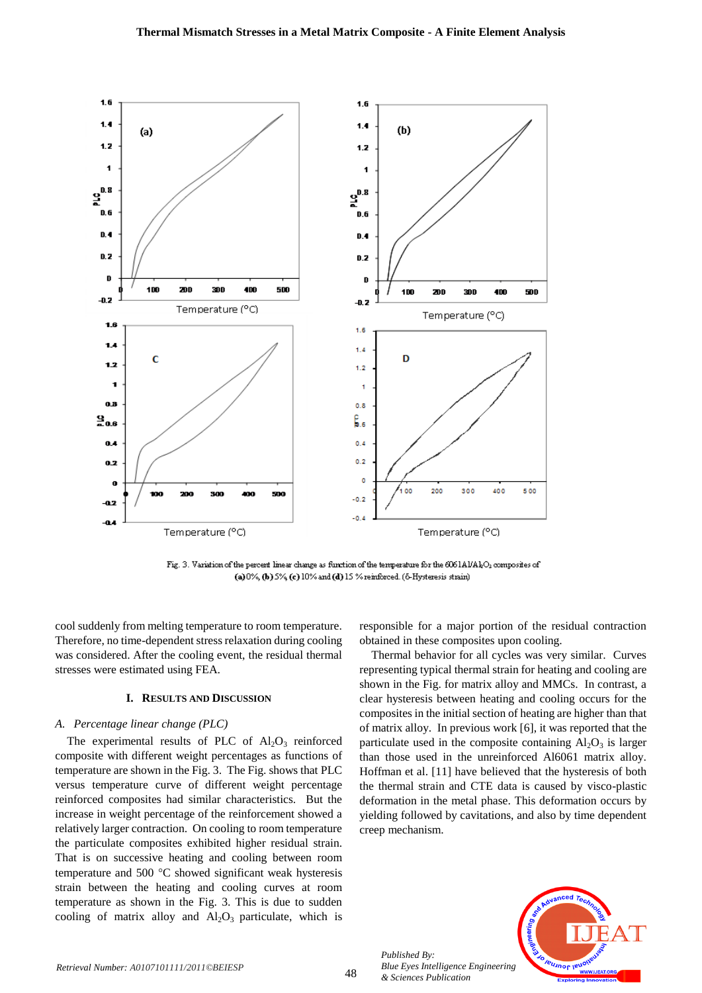

Fig. 3. Variation of the percent linear change as function of the temperature for the 6061AI/AkO<sub>3</sub> composites of (a)  $0\%$ , (b)  $5\%$  (c)  $10\%$  and (d)  $15\%$  reinforced. ( $6$ -Hysteresis strain)

cool suddenly from melting temperature to room temperature. Therefore, no time-dependent stress relaxation during cooling was considered. After the cooling event, the residual thermal stresses were estimated using FEA.

#### **I. RESULTS AND DISCUSSION**

#### *A. Percentage linear change (PLC)*

The experimental results of PLC of  $Al_2O_3$  reinforced composite with different weight percentages as functions of temperature are shown in the Fig. 3. The Fig. shows that PLC versus temperature curve of different weight percentage reinforced composites had similar characteristics. But the increase in weight percentage of the reinforcement showed a relatively larger contraction. On cooling to room temperature the particulate composites exhibited higher residual strain. That is on successive heating and cooling between room temperature and  $500 \degree C$  showed significant weak hysteresis strain between the heating and cooling curves at room temperature as shown in the Fig. 3. This is due to sudden cooling of matrix alloy and  $Al_2O_3$  particulate, which is

responsible for a major portion of the residual contraction obtained in these composites upon cooling.

Thermal behavior for all cycles was very similar. Curves representing typical thermal strain for heating and cooling are shown in the Fig. for matrix alloy and MMCs. In contrast, a clear hysteresis between heating and cooling occurs for the composites in the initial section of heating are higher than that of matrix alloy. In previous work [6], it was reported that the particulate used in the composite containing  $Al_2O_3$  is larger than those used in the unreinforced Al6061 matrix alloy. Hoffman et al. [11] have believed that the hysteresis of both the thermal strain and CTE data is caused by visco-plastic deformation in the metal phase. This deformation occurs by yielding followed by cavitations, and also by time dependent creep mechanism.



*Published By:*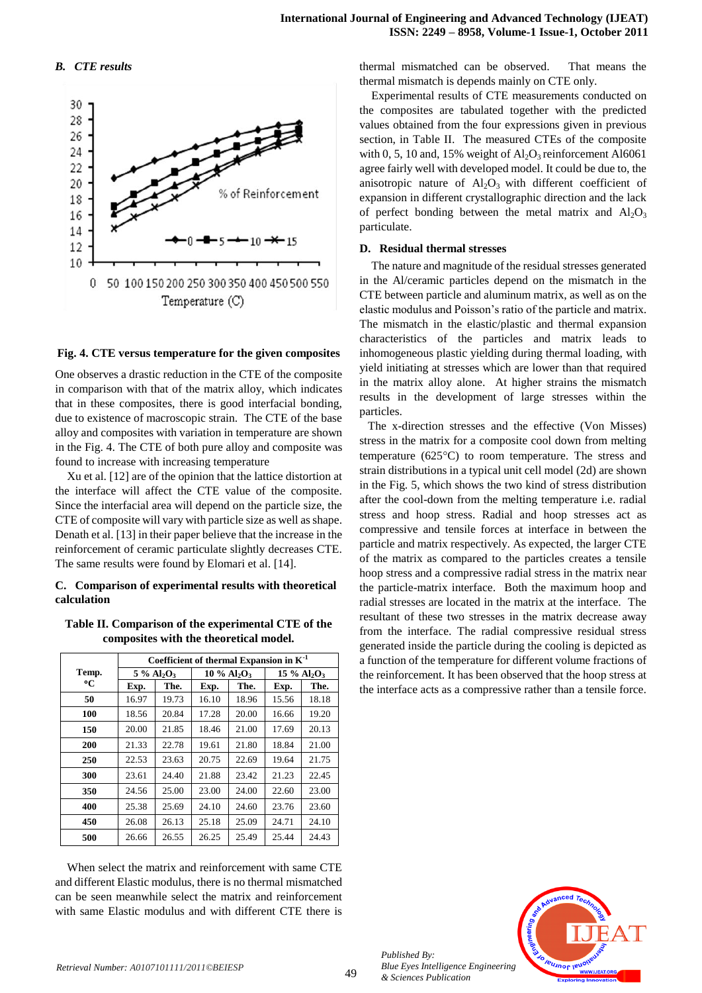## *B. CTE results*



## **Fig. 4. CTE versus temperature for the given composites**

One observes a drastic reduction in the CTE of the composite in comparison with that of the matrix alloy, which indicates that in these composites, there is good interfacial bonding, due to existence of macroscopic strain. The CTE of the base alloy and composites with variation in temperature are shown in the Fig. 4. The CTE of both pure alloy and composite was found to increase with increasing temperature

Xu et al. [12] are of the opinion that the lattice distortion at the interface will affect the CTE value of the composite. Since the interfacial area will depend on the particle size, the CTE of composite will vary with particle size as well as shape. Denath et al. [13] in their paper believe that the increase in the reinforcement of ceramic particulate slightly decreases CTE. The same results were found by Elomari et al. [14].

## **C. Comparison of experimental results with theoretical calculation**

## **Table II. Comparison of the experimental CTE of the composites with the theoretical model.**

|       | Coefficient of thermal Expansion in $K^{-1}$ |       |                                       |       |                                       |       |  |
|-------|----------------------------------------------|-------|---------------------------------------|-------|---------------------------------------|-------|--|
| Temp. | $5\%$ Al <sub>2</sub> O <sub>3</sub>         |       | $10\%$ Al <sub>2</sub> O <sub>3</sub> |       | $15\%$ Al <sub>2</sub> O <sub>3</sub> |       |  |
| °C    | Exp.                                         | The.  | Exp.                                  | The.  | Exp.                                  | The.  |  |
| 50    | 16.97                                        | 19.73 | 16.10                                 | 18.96 | 15.56                                 | 18.18 |  |
| 100   | 18.56                                        | 20.84 | 17.28                                 | 20.00 | 16.66                                 | 19.20 |  |
| 150   | 20.00                                        | 21.85 | 18.46                                 | 21.00 | 17.69                                 | 20.13 |  |
| 200   | 21.33                                        | 22.78 | 19.61                                 | 21.80 | 18.84                                 | 21.00 |  |
| 250   | 22.53                                        | 23.63 | 20.75                                 | 22.69 | 19.64                                 | 21.75 |  |
| 300   | 23.61                                        | 24.40 | 21.88                                 | 23.42 | 21.23                                 | 22.45 |  |
| 350   | 24.56                                        | 25.00 | 23.00                                 | 24.00 | 22.60                                 | 23.00 |  |
| 400   | 25.38                                        | 25.69 | 24.10                                 | 24.60 | 23.76                                 | 23.60 |  |
| 450   | 26.08                                        | 26.13 | 25.18                                 | 25.09 | 24.71                                 | 24.10 |  |
| 500   | 26.66                                        | 26.55 | 26.25                                 | 25.49 | 25.44                                 | 24.43 |  |

When select the matrix and reinforcement with same CTE and different Elastic modulus, there is no thermal mismatched can be seen meanwhile select the matrix and reinforcement with same Elastic modulus and with different CTE there is thermal mismatched can be observed. That means the thermal mismatch is depends mainly on CTE only.

Experimental results of CTE measurements conducted on the composites are tabulated together with the predicted values obtained from the four expressions given in previous section, in Table II. The measured CTEs of the composite with 0, 5, 10 and, 15% weight of  $Al_2O_3$  reinforcement Al6061 agree fairly well with developed model. It could be due to, the anisotropic nature of  $Al_2O_3$  with different coefficient of expansion in different crystallographic direction and the lack of perfect bonding between the metal matrix and  $Al_2O_3$ particulate.

## **D. Residual thermal stresses**

The nature and magnitude of the residual stresses generated in the Al/ceramic particles depend on the mismatch in the CTE between particle and aluminum matrix, as well as on the elastic modulus and Poisson's ratio of the particle and matrix. The mismatch in the elastic/plastic and thermal expansion characteristics of the particles and matrix leads to inhomogeneous plastic yielding during thermal loading, with yield initiating at stresses which are lower than that required in the matrix alloy alone. At higher strains the mismatch results in the development of large stresses within the particles.

The x-direction stresses and the effective (Von Misses) stress in the matrix for a composite cool down from melting temperature  $(625^{\circ}C)$  to room temperature. The stress and strain distributions in a typical unit cell model (2d) are shown in the Fig. 5, which shows the two kind of stress distribution after the cool-down from the melting temperature i.e. radial stress and hoop stress. Radial and hoop stresses act as compressive and tensile forces at interface in between the particle and matrix respectively. As expected, the larger CTE of the matrix as compared to the particles creates a tensile hoop stress and a compressive radial stress in the matrix near the particle-matrix interface. Both the maximum hoop and radial stresses are located in the matrix at the interface. The resultant of these two stresses in the matrix decrease away from the interface. The radial compressive residual stress generated inside the particle during the cooling is depicted as a function of the temperature for different volume fractions of the reinforcement. It has been observed that the hoop stress at the interface acts as a compressive rather than a tensile force.



*Published By: Blue Eyes Intelligence Engineering & Sciences Publication*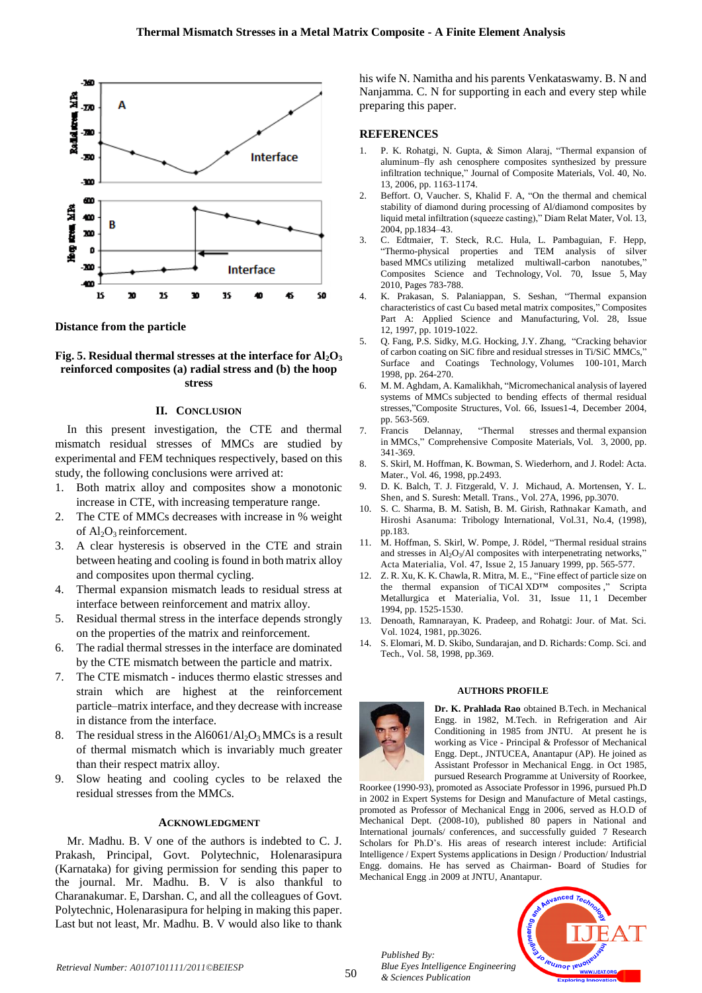

**Distance from the particle**

## **Fig. 5.** Residual thermal stresses at the interface for  $AI_2O_3$ **reinforced composites (a) radial stress and (b) the hoop stress**

## **II. CONCLUSION**

In this present investigation, the CTE and thermal mismatch residual stresses of MMCs are studied by experimental and FEM techniques respectively, based on this study, the following conclusions were arrived at:

- 1. Both matrix alloy and composites show a monotonic increase in CTE, with increasing temperature range.
- 2. The CTE of MMCs decreases with increase in % weight of  $Al_2O_3$  reinforcement.
- 3. A clear hysteresis is observed in the CTE and strain between heating and cooling is found in both matrix alloy and composites upon thermal cycling.
- 4. Thermal expansion mismatch leads to residual stress at interface between reinforcement and matrix alloy.
- 5. Residual thermal stress in the interface depends strongly on the properties of the matrix and reinforcement.
- 6. The radial thermal stresses in the interface are dominated by the CTE mismatch between the particle and matrix.
- 7. The CTE mismatch induces thermo elastic stresses and strain which are highest at the reinforcement particle–matrix interface, and they decrease with increase in distance from the interface.
- 8. The residual stress in the  $A16061/A1_2O_3$  MMCs is a result of thermal mismatch which is invariably much greater than their respect matrix alloy.
- 9. Slow heating and cooling cycles to be relaxed the residual stresses from the MMCs.

#### **ACKNOWLEDGMENT**

Mr. Madhu. B. V one of the authors is indebted to C. J. Prakash, Principal, Govt. Polytechnic, Holenarasipura (Karnataka) for giving permission for sending this paper to the journal. Mr. Madhu. B. V is also thankful to Charanakumar. E, Darshan. C, and all the colleagues of Govt. Polytechnic, Holenarasipura for helping in making this paper. Last but not least, Mr. Madhu. B. V would also like to thank his wife N. Namitha and his parents Venkataswamy. B. N and Nanjamma. C. N for supporting in each and every step while preparing this paper.

## **REFERENCES**

- 1. P. K. Rohatgi, N. Gupta, & Simon Alaraj, "Thermal expansion of aluminum–fly ash cenosphere composites synthesized by pressure infiltration technique," Journal of Composite Materials, Vol. 40, No. 13, 2006, pp. 1163-1174.
- 2. Beffort. O, Vaucher. S, Khalid F. A, "On the thermal and chemical stability of diamond during processing of Al/diamond composites by liquid metal infiltration (squeeze casting)," Diam Relat Mater, Vol. 13, 2004, pp.1834–43.
- 3. C. Edtmaier, T. Steck, R.C. Hula, L. Pambaguian, F. Hepp, "Thermo-physical properties and TEM analysis of silver based MMCs utilizing metalized multiwall-carbon nanotubes," Composites Science and Technology, Vol. 70, Issue 5, May 2010, Pages 783-788.
- 4. K. Prakasan, S. Palaniappan, S. Seshan, "Thermal expansion characteristics of cast Cu based metal matrix composites," Composites Part A: Applied Science and Manufacturing, Vol. 28, Issue 12, 1997, pp. 1019-1022.
- 5. Q. Fang, P.S. Sidky, M.G. Hocking, J.Y. Zhang, "Cracking behavior of carbon coating on SiC fibre and residual stresses in Ti/SiC MMCs," Surface and Coatings Technology, Volumes 100-101, March 1998, pp. 264-270.
- 6. M. M. Aghdam, A. Kamalikhah, "Micromechanical analysis of layered systems of MMCs subjected to bending effects of thermal residual stresses,"Composite Structures, Vol. 66, Issues1-4, December 2004,
- pp. 563-569.<br>Francis Delannay, 7. Francis Delannay, "Thermal stresses and thermal expansion in MMCs," Comprehensive Composite Materials, Vol. 3, 2000, pp. 341-369.
- 8. S. Skirl, M. Hoffman, K. Bowman, S. Wiederhorn, and J. Rodel: Acta. Mater., Vol. 46, 1998, pp.2493.
- 9. D. K. Balch, T. J. Fitzgerald, V. J. Michaud, A. Mortensen, Y. L. Shen, and S. Suresh: Metall. Trans., Vol. 27A, 1996, pp.3070.
- 10. S. C. Sharma, B. M. Satish, B. M. Girish, Rathnakar Kamath, and Hiroshi Asanuma: Tribology International, Vol.31, No.4, (1998), pp.183.
- 11. M. Hoffman, S. Skirl, W. Pompe, J. Rödel, "Thermal residual strains and stresses in  $\text{Al}_2\text{O}_3/\text{Al}$  composites with interpenetrating networks," Acta Materialia, Vol. 47, Issue 2, 15 January 1999, pp. 565-577.
- 12. Z. R. Xu, K. K. Chawla, R. Mitra, M. E., "Fine effect of particle size on the thermal expansion of TiCAl XD™ composites ," Scripta Metallurgica et Materialia, Vol. 31, Issue 11, 1 December 1994, pp. 1525-1530.
- 13. Denoath, Ramnarayan, K. Pradeep, and Rohatgi: Jour. of Mat. Sci. Vol. 1024, 1981, pp.3026.
- 14. S. Elomari, M. D. Skibo, Sundarajan, and D. Richards: Comp. Sci. and Tech., Vol. 58, 1998, pp.369.

#### **AUTHORS PROFILE**



*Published By:*

*& Sciences Publication* 

**Dr. K. Prahlada Rao** obtained B.Tech. in Mechanical Engg. in 1982, M.Tech. in Refrigeration and Air Conditioning in 1985 from JNTU. At present he is working as Vice - Principal & Professor of Mechanical Engg. Dept., JNTUCEA, Anantapur (AP). He joined as Assistant Professor in Mechanical Engg. in Oct 1985, pursued Research Programme at University of Roorkee,

Roorkee (1990-93), promoted as Associate Professor in 1996, pursued Ph.D in 2002 in Expert Systems for Design and Manufacture of Metal castings, promoted as Professor of Mechanical Engg in 2006, served as H.O.D of Mechanical Dept. (2008-10), published 80 papers in National and International journals/ conferences, and successfully guided 7 Research Scholars for Ph.D's. His areas of research interest include: Artificial Intelligence / Expert Systems applications in Design / Production/ Industrial Engg. domains. He has served as Chairman- Board of Studies for Mechanical Engg .in 2009 at JNTU, Anantapur.